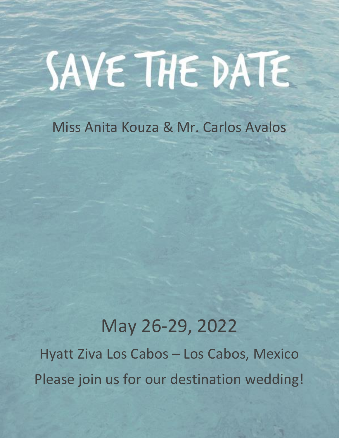# SAVE THE DATE

Miss Anita Kouza & Mr. Carlos Avalos

# May 26-29, 2022

Hyatt Ziva Los Cabos – Los Cabos, Mexico Please join us for our destination wedding!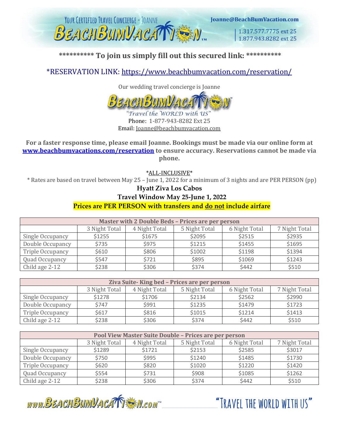

### **\*\*\*\*\*\*\*\*\*\* To join us simply fill out this secured link: \*\*\*\*\*\*\*\*\*\***

\*RESERVATION LINK:<https://www.beachbumvacation.com/reservation/>

Our wedding travel concierge is Joanne



Phone: 1-877-943-8282 Ext 25 Email: Joanne@beachbumvacation.com

**For a faster response time, please email Joanne. Bookings must be made via our online form at [www.beachbumvacations.com/reservation](http://www.beachbumvacations.com/reservation) to ensure accuracy. Reservations cannot be made via phone.**

\*ALL-INCLUSIVE\*

\* Rates are based on travel between May 25 – June 1, 2022 for a minimum of 3 nights and are PER PERSON (pp)

**Hyatt Ziva Los Cabos**

#### **Travel Window May 25-June 1, 2022**

#### **Prices are PER PERSON with transfers and do not include airfare**

| Master with 2 Double Beds - Prices are per person |               |               |               |               |               |
|---------------------------------------------------|---------------|---------------|---------------|---------------|---------------|
|                                                   | 3 Night Total | 4 Night Total | 5 Night Total | 6 Night Total | 7 Night Total |
| Single Occupancy                                  | \$1255        | \$1675        | \$2095        | \$2515        | \$2935        |
| Double Occupancy                                  | \$735         | \$975         | \$1215        | \$1455        | \$1695        |
| Triple Occupancy                                  | \$610         | \$806         | \$1002        | \$1198        | \$1394        |
| Quad Occupancy                                    | \$547         | \$721         | \$895         | \$1069        | \$1243        |
| Child age 2-12                                    | \$238         | \$306         | \$374         | \$442         | \$510         |

| Ziva Suite-King bed - Prices are per person |               |               |               |               |               |
|---------------------------------------------|---------------|---------------|---------------|---------------|---------------|
|                                             | 3 Night Total | 4 Night Total | 5 Night Total | 6 Night Total | 7 Night Total |
| Single Occupancy                            | \$1278        | \$1706        | \$2134        | \$2562        | \$2990        |
| Double Occupancy                            | \$747         | \$991         | \$1235        | \$1479        | \$1723        |
| Triple Occupancy                            | \$617         | \$816         | \$1015        | \$1214        | \$1413        |
| Child age 2-12                              | \$238         | \$306         | \$374         | \$442         | \$510         |

| Pool View Master Suite Double - Prices are per person |               |               |               |               |               |
|-------------------------------------------------------|---------------|---------------|---------------|---------------|---------------|
|                                                       | 3 Night Total | 4 Night Total | 5 Night Total | 6 Night Total | 7 Night Total |
| Single Occupancy                                      | \$1289        | \$1721        | \$2153        | \$2585        | \$3017        |
| Double Occupancy                                      | \$750         | \$995         | \$1240        | \$1485        | \$1730        |
| <b>Triple Occupancy</b>                               | \$620         | \$820         | \$1020        | \$1220        | \$1420        |
| Quad Occupancy                                        | \$554         | \$731         | \$908         | \$1085        | \$1262        |
| Child age 2-12                                        | \$238         | \$306         | \$374         | \$442         | \$510         |

www.BEACHBUMVACATTEN.com

"TRAVEL THE WORLD WITH US"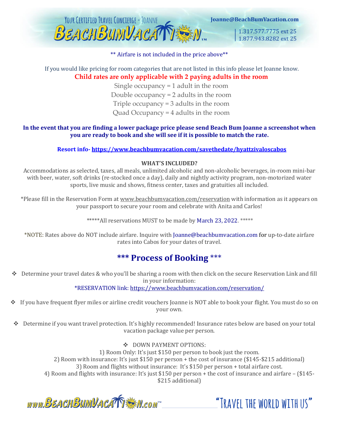

#### \*\* Airfare is not included in the price above\*\*

#### If you would like pricing for room categories that are not listed in this info please let Joanne know. **Child rates are only applicable with 2 paying adults in the room**

Single occupancy = 1 adult in the room Double occupancy = 2 adults in the room Triple occupancy = 3 adults in the room Quad Occupancy = 4 adults in the room

#### **In the event that you are finding a lower package price please send Beach Bum Joanne a screenshot when you are ready to book and she will see if it is possible to match the rate.**

#### **Resort info- <https://www.beachbumvacation.com/savethedate/hyattzivaloscabos>**

#### **WHAT'S INCLUDED?**

Accommodations as selected, taxes, all meals, unlimited alcoholic and non-alcoholic beverages, in-room mini-bar with beer, water, soft drinks (re-stocked once a day), daily and nightly activity program, non-motorized water sports, live music and shows, fitness center, taxes and gratuities all included.

\*Please fill in the Reservation Form at [www.beachbumvacation.com/reservation](http://www.beachbumvacation.com/reservation) with information as it appears on your passport to secure your room and celebrate with Anita and Carlos!

\*\*\*\*\*All reservations MUST to be made by March 23, 2022. \*\*\*\*\*

\*NOTE: Rates above do NOT include airfare. Inquire with Joanne@beachbumvacation.com for up-to-date airfare rates into Cabos for your dates of travel.

## **\*\*\* Process of Booking** \*\*\*

❖ Determine your travel dates & who you'll be sharing a room with then click on the secure Reservation Link and fill in your information:

\*RESERVATION link:<https://www.beachbumvacation.com/reservation/>

- ❖ If you have frequent flyer miles or airline credit vouchers Joanne is NOT able to book your flight. You must do so on your own.
- ❖ Determine if you want travel protection. It's highly recommended! Insurance rates below are based on your total vacation package value per person.

❖ DOWN PAYMENT OPTIONS:

1) Room Only: It's just \$150 per person to book just the room. 2) Room with insurance: It's just \$150 per person + the cost of insurance (\$145-\$215 additional) 3) Room and flights without insurance: It's \$150 per person + total airfare cost. 4) Room and flights with insurance: It's just \$150 per person + the cost of insurance and airfare – (\$145- \$215 additional)

www.BEACHBUMVACATTEN.com

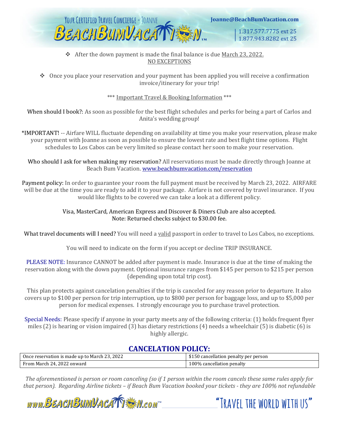

#### ❖ After the down payment is made the final balance is due March 23, 2022. NO EXCEPTIONS

❖ Once you place your reservation and your payment has been applied you will receive a confirmation invoice/itinerary for your trip!

\*\*\* Important Travel & Booking Information \*\*\*

When should I book?: As soon as possible for the best flight schedules and perks for being a part of Carlos and Anita's wedding group!

\*IMPORTANT! -- Airfare WILL fluctuate depending on availability at time you make your reservation, please make your payment with Joanne as soon as possible to ensure the lowest rate and best flight time options. Flight schedules to Los Cabos can be very limited so please contact her soon to make your reservation.

Who should I ask for when making my reservation? All reservations must be made directly through Joanne at Beach Bum Vacation. [www.beachbumvacation.com/reservation](http://www.beachbumvacation.com/reservation)

Payment policy: In order to guarantee your room the full payment must be received by March 23, 2022. AIRFARE will be due at the time you are ready to add it to your package. Airfare is not covered by travel insurance. If you would like flights to be covered we can take a look at a different policy.

#### Visa, MasterCard, American Express and Discover & Diners Club are also accepted. Note: Returned checks subject to \$30.00 fee.

What travel documents will I need? You will need a valid passport in order to travel to Los Cabos, no exceptions.

You will need to indicate on the form if you accept or decline TRIP INSURANCE.

PLEASE NOTE: Insurance CANNOT be added after payment is made. Insurance is due at the time of making the reservation along with the down payment. Optional insurance ranges from \$145 per person to \$215 per person (depending upon total trip cost).

This plan protects against cancelation penalties if the trip is canceled for any reason prior to departure. It also covers up to \$100 per person for trip interruption, up to \$800 per person for baggage loss, and up to \$5,000 per person for medical expenses. I strongly encourage you to purchase travel protection.

Special Needs: Please specify if anyone in your party meets any of the following criteria: (1) holds frequent flyer miles (2) is hearing or vision impaired (3) has dietary restrictions (4) needs a wheelchair (5) is diabetic (6) is highly allergic.

#### **CANCELATION POLICY:**

| Once reservation is made up to March 23, 2022 | \$150 cancellation penalty per person |
|-----------------------------------------------|---------------------------------------|
| From March 24, 2022 onward                    | 100% cancellation penalty             |

*The aforementioned is person or room canceling (so if 1 person within the room cancels these same rules apply for that person). Regarding Airline tickets – if Beach Bum Vacation booked your tickets - they are 100% not refundable* 

"TRAVFI THE WORLD WITH US"

www.BEACHBUMVACATTE M.com